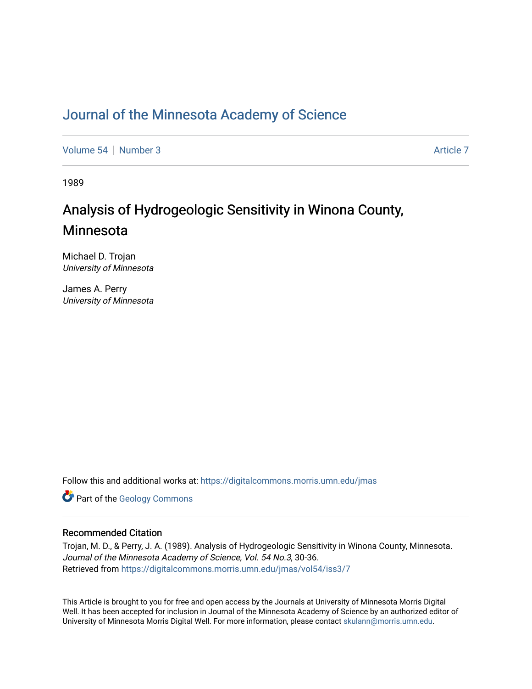## [Journal of the Minnesota Academy of Science](https://digitalcommons.morris.umn.edu/jmas)

[Volume 54](https://digitalcommons.morris.umn.edu/jmas/vol54) [Number 3](https://digitalcommons.morris.umn.edu/jmas/vol54/iss3) [Article 7](https://digitalcommons.morris.umn.edu/jmas/vol54/iss3/7) Article 7 Article 7 Article 7 Article 7 Article 7 Article 7

1989

# Analysis of Hydrogeologic Sensitivity in Winona County, Minnesota

Michael D. Trojan University of Minnesota

James A. Perry University of Minnesota

Follow this and additional works at: [https://digitalcommons.morris.umn.edu/jmas](https://digitalcommons.morris.umn.edu/jmas?utm_source=digitalcommons.morris.umn.edu%2Fjmas%2Fvol54%2Fiss3%2F7&utm_medium=PDF&utm_campaign=PDFCoverPages) 

**Part of the [Geology Commons](https://network.bepress.com/hgg/discipline/156?utm_source=digitalcommons.morris.umn.edu%2Fjmas%2Fvol54%2Fiss3%2F7&utm_medium=PDF&utm_campaign=PDFCoverPages)** 

### Recommended Citation

Trojan, M. D., & Perry, J. A. (1989). Analysis of Hydrogeologic Sensitivity in Winona County, Minnesota. Journal of the Minnesota Academy of Science, Vol. 54 No.3, 30-36. Retrieved from [https://digitalcommons.morris.umn.edu/jmas/vol54/iss3/7](https://digitalcommons.morris.umn.edu/jmas/vol54/iss3/7?utm_source=digitalcommons.morris.umn.edu%2Fjmas%2Fvol54%2Fiss3%2F7&utm_medium=PDF&utm_campaign=PDFCoverPages)

This Article is brought to you for free and open access by the Journals at University of Minnesota Morris Digital Well. It has been accepted for inclusion in Journal of the Minnesota Academy of Science by an authorized editor of University of Minnesota Morris Digital Well. For more information, please contact [skulann@morris.umn.edu](mailto:skulann@morris.umn.edu).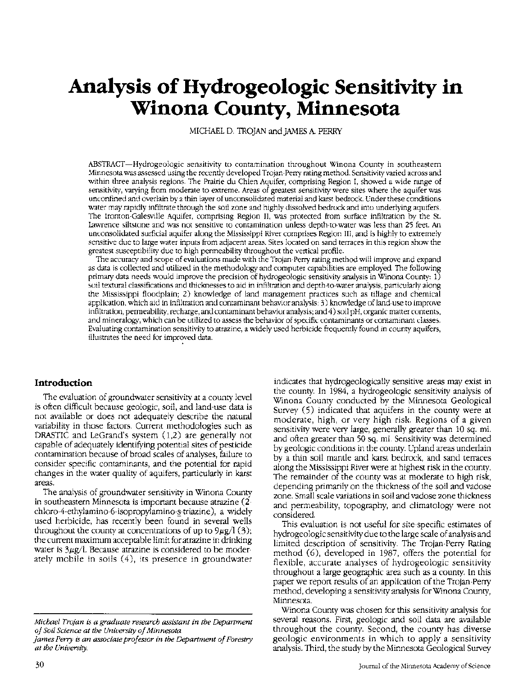# **Analysis of Hydrogeologic Sensitivity in Winona County, Minnesota**

MICHAEL D. TROJAN and JAMES A. PERRY

ABSTRACT-Hydrogeologic sensitivity to contamination throughout Winona County in southeastern Minnesota was assessed using the recently developed Trojan-Perry rating method. Sensitivity varied across and within three analysis regions. The Prairie du Chien Aquifer, comprising Region I, showed a wide range of sensitivity, varying from moderate to extreme. Areas of greatest sensitivity were sites where the aquifer was unconfined and overlain by a thin layer of unconsolidated material and karst bedrock. Under these conditions water may rapidly infiltrate through the soil zone and highly dissolved bedrock and into underlying aquifers. The Ironton-Galesville Aquifer, comprising Region II, was protected from surface infiltration by the St. lawrence siltstone and was not sensitive to contamination unless depth-to-water was less than 25 feet. An unconsolidated surficial aquifer along the Mississippi River comprises Region III, and is highly to extremely sensitive due to large water inputs from adjacent areas. Sites located on sand terraces in this region show the greatest susceptibility due to high permeability throughout the vertical profile.

The accuracy and scope of evaluations made with the Trojan-Perry rating method will improve and expand as data is collected and utilized in the methodology and computer capabilities are employed. The following primary data needs would improve the precision of hydrogeologic sensitivity analysis in Winona County: 1) soil textural classifications and thicknesses to aid in infiltration and depth-to-water analysis, particularly along the Mississippi floodplain; 2) knowledge of land management practices such as tillage and chemical application, which aid in infiltration and contaminant behavior analysis;  $3$ ) knowledge of land-use to improve infiltration, permeability, recharge, and contaminant behavior analysis; and 4) soil pH, organic matter contents, and mineralogy, which can be utilized to assess the behavior of specific contaminants or contaminant classes. Evaluating contamination sensitivity to atrazine, a widely used herbicide frequently found in county aquifers, illustrates the need for improved data.

The evaluation of groundwater sensitivity at a county level is often difficult because geologic, soil, and land-use data is not available or does not adequately describe the natural variability in those factors. Current methodologies such as DRASTIC and LeGrand's system (1,2) are generally not capable of adequately identifying potential sites of pesticide contamination because of broad scales of analyses, failure to consider specific contaminants, and the potential for rapid changes in the water quality of aquifers, particularly in karst areas.

The analysis of groundwater sensitivity in Winona County in southeastern Minnesota is important because atrazine (2 chloro-4-ethylamino-6-isopropylamino-s-triazine), a widely used herbicide, has recently been found in several wells throughout the county at concentrations of up to  $9\mu$ g/l (3); the current maximum acceptable limit for atrazine in drinking water is  $3\mu$ g/l. Because atrazine is considered to be moderately mobile in soils (4), its presence in groundwater

**Introduction indicates that hydrogeologically sensitive areas may exist in** the county. In 1984, a hydrogeologic sensitivity analysis of Winona County conducted by the Minnesota Geological Survey (5) indicated that aquifers in the county were at moderate, high, or very high risk. Regions of a given sensitivity were very large, generally greater than 10 sq. mi. and often greater than 50 sq. mi. Sensitivity was determined by geologic conditions in the county. Upland areas underlain by a thin soil mantle and karst bedrock, and sand terraces along the Mississippi River were at highest risk in the county. The remainder of the county was at moderate to high risk, depending primarily on the thickness of the soil and vadose zone. Small scale variations in soil and vadose zone thickness and permeability, topography, and climatology were not considered.

This evaluation is not useful for site-specific estimates of hydrogeologic sensitivity due to the large scale of analysis and limited description of sensitivity. The Trojan-Perry Rating method (6), developed in 1987, offers the potential for flexible, accurate analyses of hydrogeologic sensitivity throughout a large geographic area such as a county. In this paper we report results of an application of the Trojan-Perry method, developing a sensitivity analysis for Winona County, Minnesota.

Winona County was chosen for this sensitivity analysis for several reasons. First, geologic and soil data are available throughout the county. Second, the county has diverse geologic environments in which to apply a sensitivity analysis. Third, the study by the Minnesota Geological Survey

*Michael Trojan is a graduate research assistant in the Department of Soil Science at the University of Minnesota.* 

*james* Perry *is an associate professor in the Department of Forestry at the University.*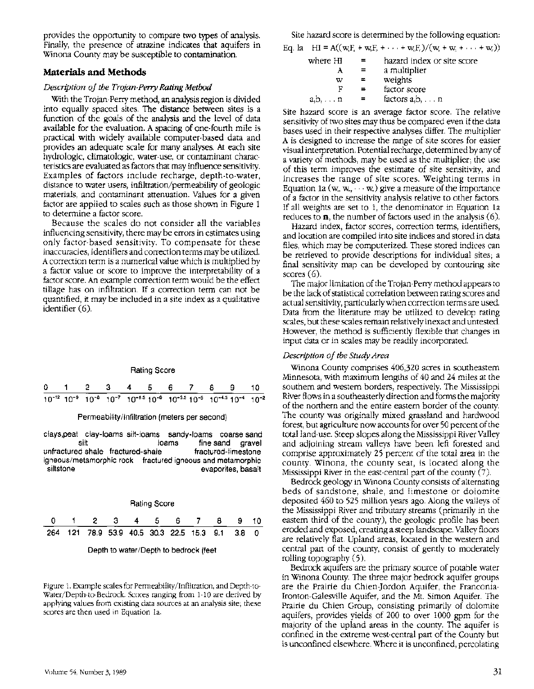provides the opportunity to compare two types of analysis. Finally, the presence of atrazine indicates that aquifers in Winona County may be susceptible to contamination.

#### **Materials and Methods**

#### *Description of the Trojan-Perry Rating Method*

With the Trojan-Perry method, an analysis region is divided into equally spaced sites. The distance between sites is a function of the goals of the analysis and the level of data available for the evaluation. A spacing of one-fourth mile is practical with widely available computer-based data and provides an adequate scale for many analyses. At each site hydrologic, climatologic, water-use, or contaminant characteristics are evaluated as factors that may influence sensitivity. Examples of factors include recharge, depth-to-water, distance to water users, infiltration/permeability of geologic materials, and contaminant attenuation. Values for a given factor are applied to scales such as those shown in Figure 1 to determine a factor score.

Because the scales do not consider all the variables influencing sensitivity, there may be errors in estimates using only factor-based sensitivity. To compensate for these inaccuracies, identifiers and correction terms may be utilized. A correction term is a numerical value which is multiplied by a factor value or score to improve the interpretability of a factor score. An example correction term would be the effect tillage has on infiltration. If a correction term can not be quantified, it may be included in a site index as a qualitative identifier (6).

### Rating Score 0 2 3 4 5 6 7 8 9 10  $10^{-12}$  10<sup>-9</sup> 10<sup>-8</sup> 10<sup>-7</sup> 10<sup>-85</sup> 10<sup>-6</sup> 10<sup>-55</sup> 10<sup>-5</sup> 10<sup>-45</sup> 10<sup>-4</sup> 10<sup>-2</sup>

Permeability/Infiltration (meters per second)

clays,peat clay-loams silt-loams sandy-loams coarse sand silt loams fine sand gravel unfractured shale fractured-shale fractured-timestone igneous/metamorphic rock fractured igneous and metamorphic siltstone evaporites, basalt



Depth to water/Depth to bedrock (feet

Figure 1. Example scales for Permeability/Infiltration, and Depth-to-Water/Depth-to-Bedrock. Scores ranging from 1-10 are derived by applying values from existing data sources at an analysis site; these scores are then used in Equation la.

Site hazard score is determined by the following equation:

Eq. la  $H = A((w_iF_i + w_iF_i + \cdots + w_iF_i)/(w_i + w_i + \cdots + w_i))$ 

| where HI        | hazard index or site score |
|-----------------|----------------------------|
|                 | a multiplier               |
| w               | weights                    |
| г               | factor score               |
| $a,b,\ldots, n$ | factors $a, b, \ldots n$   |

Site hazard score is an average factor score. The relative sensitivity of two sites may thus be compared even if the data bases used in their respective analyses differ. The multiplier A is designed to increase the range of site scores for easier visual interpretation. Potential recharge, determined by any of a variety of methods, may be used as the multiplier; the use of this term improves the estimate of site sensitivity, and increases the range of site scores. Weighting terms in Equation 1a ( $w_1, w_2, \cdots, w_n$ ) give a measure of the importance of a factor in the sensitivity analysis relative to other factors. If all weights are set to 1, the denominator in Equation 1a reduces to **n**, the number of factors used in the analysis (6).

Hazard index, factor scores, correction terms, identifiers, and location are compiled into site indices and stored in data files, which may be computerized. These stored indices can be retrieved to provide descriptions for individual sites; a final sensitivity map can be developed by contouring site scores (6).

The major limitation of the Trojan-Perry method appears to be the lack of statistical correlation between rating scores and actual sensitivity, particularly when correction terms are used. Data from the literature may be utilized to develop rating scales, but these scales remain relatively inexact and untested. However, the method is sufficiently flexible that changes in input data or in scales may be readily incorporated.

#### *Description of the Study Area*

Winona County comprises 406,320 acres in southeastern Minnesota, with maximum lengths of 40 and 24 miles at the southern and western borders, respectively. The Mississippi River flows in a southeasterly direction and forms the majority of the northern and the entire eastern border of the county. The county was originally mixed grassland and hardwood forest, but agriculture now accounts for over 50 percent of the total land-use. Steep slopes along the Mississippi River Valley and adjoining stream valleys have been left forested and comprise approximately 25 percent of the total area in the county. Winona, the county seat, is located along the Mississippi River in the east-central part of the county (7).

Bedrock geology in Winona County consists of alternating beds of sandstone, shale, and limestone or dolomite deposited 460 to 525 million years ago. Along the valleys of the Mississippi River and tributary streams (primarily in the eastern third of the county), the geologic profile has been eroded and exposed, creating a steep landscape. Valley floors are relatively flat. Upland areas, located in the western and central part of the county, consist of gently to moderately rolling topography (5).

Bedrock aquifers are the primary source of potable water in Winona County. The three major bedrock aquifer groups are the Prairie du Chien-]ordon Aquifer, the Franconia-Ironton-Galesville Aquifer, and the Mt. Simon Aquifer. The Prairie du Chien Group, consisting primarily of dolomite aquifers, provides yields of 200 to over 1000 gpm for the majority of the upland areas in the county. The aquifer is confined in the extreme west-central part of the County but is unconfined elsewhere. Where it is unconfined, percolating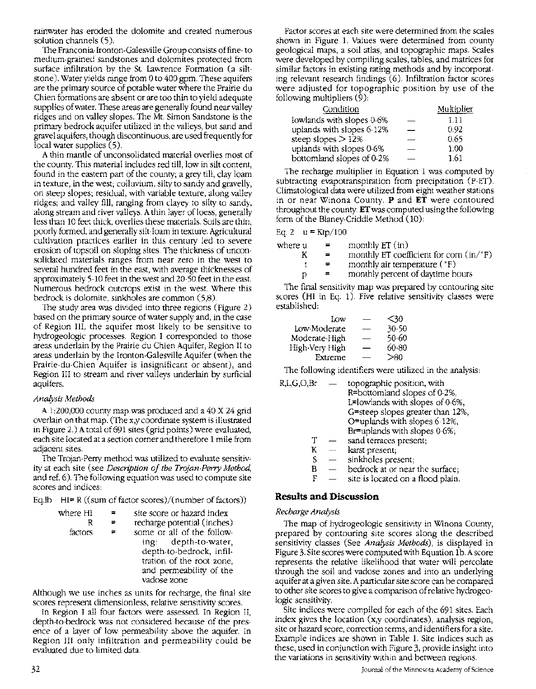rainwater has eroded the dolomite and created numerous solution channels (5).

The Franconia-Ironton-Galesville Group consists of fine- to medium-grained sandstones and dolomites protected from surface infiltration by the St. Lawrence Formation (a siltstone). Water yields range from 0 to 400 gpm. These aquifers are the primary source of potable water where the Prairie du Chien formations are absent or are too thin to yield adequate supplies of water. These areas are generally found near valley ridges and on valley slopes. The Mt. Simon Sandstone is the primary bedrock aquifer utilized in the valleys, but sand and gravel aquifers, though discontinuous, are used frequently for local water supplies  $(5)$ .

A thin mantle of unconsolidated material overlies most of the county. This material includes red till, low in silt content, found in the eastern part of the county; a grey till, clay loam in texture, in the west; colluvium, silty to sandy and gravelly, on steep slopes; residual, with variable texture, along valley ridges; and valley fill, ranging from clayey to silty to sandy, along stream and river valleys. A thin layer of loess, generally less than 10 feet thick, overlies these materials. Soils are thin, poorly formed, and generally silt -loam in texture. Agricultural cultivation practices earlier in this century led to severe erosion of topsoil on sloping sites. The thickness of unconsolidated materials ranges from near zero in the west to several hundred feet in the east, with average thicknesses of approximately 5-10 feet in the west and 20-50 feet in the east. Numerous bedrock outcrops exist in the west. Where this bedrock is dolomite, sinkholes are common (5,8).

The study area was divided into three regions (Figure 2) based on the primary source of water supply and, in the case of Region III, the aquifer most likely to be sensitive to hydrogeologic processes. Region I corresponded to those areas underlain by the Prairie du Chien Aquifer, Region II to areas underlain by the Ironton-Galesville Aquifer (when the Prairie-du-Chien Aquifer is insignificant or absent), and Region III to stream and river valleys underlain by surficial aquifers.

#### *Analysis Methods*

A 1:200,000 county map was produced and a 40 X 24 grid overlain on that map. (The x,y coordinate system is illustrated in Figure 2.) A total of 691 sites (grid points) were evaluated, each site located at a section comer and therefore 1 mile from adjacent sites.

The Trojan-Perry method was utilized to evaluate sensitivity at each site (see *Description of the Trojan-Peny Method,*  and ref. 6). The following equation was used to compute site scores and indices:

Eq.lb HI= R ((sum of factor scores)/(number of factors))

| where HI | site score or hazard index                                                                                                          |
|----------|-------------------------------------------------------------------------------------------------------------------------------------|
|          | $\mathbf{1}$ and $\mathbf{1}$ and $\mathbf{1}$ and $\mathbf{1}$ and $\mathbf{1}$ and $\mathbf{1}$ and $\mathbf{1}$ and $\mathbf{1}$ |

R factors = = recharge potential (inches) some or all of the following: depth-to-water, depth-to-bedrock, infiltration of the root zone, and permeability of the vadose zone

Although we use inches as units for recharge, the final site scores represent dimensionless, relative sensitivity scores.

In Region I all four factors were assessed. In Region II, depth-to-bedrock was not considered because of the presence of a layer of low permeability above the aquifer. In Region III only infiltration and permeability could be evaluated due to limited data.

Factor scores at each site were determined from the scales shown in Figure 1. Values were determined from county geological maps, a soil atlas, and topographic maps. Scales were developed by compiling scales, tables, and matrices for similar factors in existing rating methods and by incorporating relevant research findings (6). Infiltration factor scores were adjusted for topographic position by use of the following multipliers (9):

| Condition                 | Multiplier |
|---------------------------|------------|
| lowlands with slopes 0-6% | 1.11       |
| uplands with slopes 6-12% | 0.92       |
| steep slopes $>12\%$      | 0.65       |
| uplands with slopes 0-6%  | 1.00       |
| bottomland slopes of 0-2% | 1.61       |

The recharge multiplier in Equation 1 was computed by subtracting evapotranspiration from precipitation (P-ET). Climatological data were utilized from eight weather stations in or near Winona County. **P** and **ET** were contoured throughout the county. **ET** was computed using the following form of the Blaney-Criddle Method (10):

Eq. 2  $u = Ktp/100$ 

| where u | $\equiv$ | monthly $ET$ (in)                                                      |
|---------|----------|------------------------------------------------------------------------|
|         | $=$      | monthly ET coefficient for corn $(in$ <sup><math>\circ</math></sup> F) |
|         | $=$      | monthly air temperature $(°F)$                                         |
| D       |          | monthly percent of daytime hours                                       |

The final sensitivity map was prepared by contouring site scores (HI in Eq. 1). Five relative sensitivity classes were established:

| ĬΩw            | --  | <30   |
|----------------|-----|-------|
| Low-Moderate   |     | 30-50 |
| Moderate-High  | ___ | 50-60 |
| High-Very High | –   | 60-80 |
| Extreme        |     | > 80  |

The following identifiers were utilized in the analysis:

| R,L,G,O,Br | topographic position, with<br>R=bottomland slopes of 0.2%,<br>L=lowlands with slopes of 0-6%, |
|------------|-----------------------------------------------------------------------------------------------|
|            | G=steep slopes greater than 12%,                                                              |
|            | O=uplands with slopes 6-12%,                                                                  |
|            | $Br =$ uplands with slopes $0.6\%$ ;                                                          |
|            | sand terraces present;                                                                        |
| κ          | karst present;                                                                                |
|            | sinkholes present;                                                                            |

- $B$   $-$  bedrock at or near the surface;
- $F =$  site is located on a flood plain.

#### **Results and Discussion**

#### *Recharge Analysis*

The map of hydrogeologic sensitivity in Winona County, prepared by contouring site scores along the described sensitivity classes (See *Analysis Methods),* is displayed in Figure 3. Site scores were computed with Equation lb. A score represents the relative likelihood that water will percolate through the soil and vadose zones and into an underlying aquifer at a given site. A particular site score can be compared to other site scores to give a comparison of relative hydrogeologic sensitivity.

Site indices were compiled for each of the 691 sites. Each index gives the location (x,y coordinates), analysis region, site or hazard score, correction terms, and identifiers for a site. Example indices are shown in Table 1. Site indices such as these, used in conjunction with Figure 3, provide insight into the variations in sensitivity within and between regions.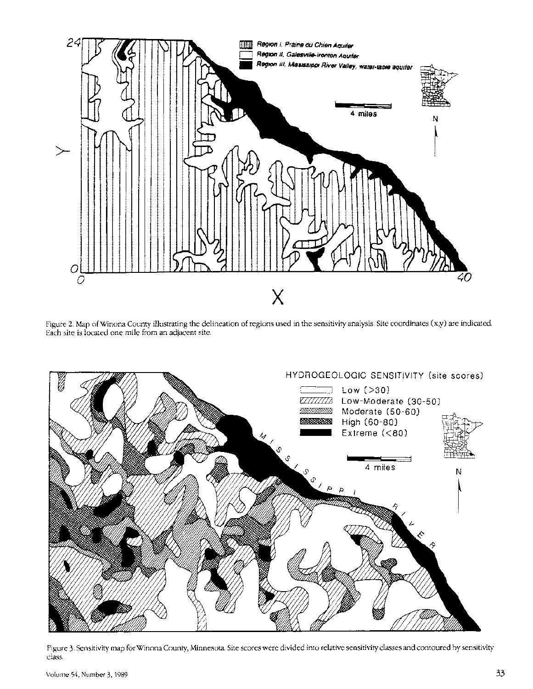

Figure 2. Map of Winona County illustrating the delineation of regions used in the sensitivity analysis. Site coordinates (x,y) are indicated. Each site is located one mile from an adjacent site.



Figure 3. Sensitivity map for Winona County, Minnesota. Site scores were divided into relative sensitivity classes and contoured by sensitivity class.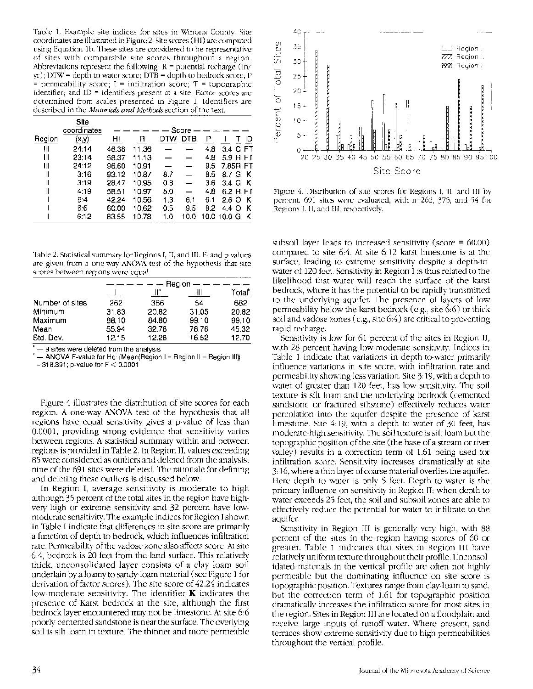Table 1. Example site indices for sites in Winona County. Site coordinates are illustrated in Figure 2. Site scores (HI) are computed using Equation lb. These sites are considered to be representative of sites with comparable site scores throughout a region. Abbreviations represent the following:  $R =$  potential recharge (in/  $yr$ ); DTW = depth to water score; DTB = depth to bedrock score; P  $=$  permeability score;  $I =$  infiltration score;  $T =$  topographic identifier; and ID = identifiers present at a site. Factor scores are determined from scales presented in Figure 1. Identifiers are described in the *Materials and Methods* section of the text.

|        | Site<br>coordinates |       |       |     | Score - |     |               |    |
|--------|---------------------|-------|-------|-----|---------|-----|---------------|----|
| Region | (x, y)              | HI    | R     | DTW | DTB     | Р   |               | ID |
| Ш      | 24:14               | 46.38 | 11.36 |     |         | 4.8 | 3.4 G FT      |    |
| Ш      | 23:14               | 58.37 | 11.13 |     |         | 4.8 | 5.9 R FT      |    |
| ш      | 24:12               | 96.60 | 10.91 |     |         | 9.5 | 7.85R FT      |    |
| Ш      | 3:16                | 93.12 | 10.87 | 8.7 |         | 8.5 | 8.7 G K       |    |
| Ш      | 3:19                | 28.47 | 10.95 | 0.8 |         | 3.6 | 3.4 G K       |    |
| Ш      | 4:19                | 58.51 | 10.97 | 5.0 |         | 4.8 | 6.2 B FT      |    |
|        | 6:4                 | 42.24 | 10.56 | 1.3 | 6.1     | 6.1 | 2.6 O K       |    |
|        | 6.6                 | 60.00 | 10.62 | 0.5 | 9.5     | 8.2 | 4.4 O K       |    |
|        | 6:12                | 83.55 | 10.78 | 1.0 | 10.0    |     | 10.0 10.0 G K |    |
|        |                     |       |       |     |         |     |               |    |

Table 2. Statistical summary for Regions I, II, and III. F- and p-values are given from a one-way ANOVA test of the hypothesis that site

| scores between regions were equal. |       |       |        |                    |
|------------------------------------|-------|-------|--------|--------------------|
|                                    |       |       | Region |                    |
|                                    |       | ⊪     | Ш      | Total <sup>e</sup> |
| Number of sites                    | 262   | 366   | 54     | 682                |
| Minimum                            | 31.83 | 20.82 | 31.05  | 20.82              |
| Maximum                            | 88.10 | 84.80 | 99.10  | 99.10              |
| Mean                               | 55.94 | 32.78 | 78.76  | 45.32              |
| Std. Dev.                          | 12.15 | 12.28 | 16.52  | 12.70              |

 $-9$  sites were deleted from the analysis

- ANOVA F-value for Ho: (Mean(Region I = Region II = Region III))

 $= 318.391$ ; p-value for  $F < 0.0001$ 

Figure 4 illustrates the distribution of site scores for each region. A one-way ANOVA test of the hypothesis that all regions have equal sensitivity gives a p-value of less than 0.0001, providing strong evidence that sensitivity varies between regions. A statistical summary within and between regions is provided in Table 2. In Region II, values exceeding 85 were considered as outliers and deleted from the analysis; nine of the 691 sites were deleted. The rationale for defining and deleting these outliers is discussed below.

In Region I, average sensitivity is moderate to high although 35 percent of the total sites in the region have highvery high or extreme sensitivity and 32 percent have lowmoderate sensitivity. The example indices for Region I shown in Table I indicate that differences in site score are primarily a function of depth to bedrock, which influences infiltration rate. Permeability of the vadose zone also affects score. At site 6:4, bedrock is 20 feet from the land surface. This relatively thick, unconsolidated layer consists of a clay loam soil underlain by a loamy to sandy-loam material (see Figure 1 for derivation of factor scores). The site score of 42.24 indicates low-moderate sensitivity. The identifier  $K$  indicates the presence of Karst bedrock at the site, although the first bedrock layer encountered may not be limestone. At site 6:6 poorly-cemented sandstone is near the surface. The overlying soil is silt loam in texture. The thinner and more permeable



Figure 4. Distribution of site scores for Regions I, II, and III by percent. 691 sites were evaluated, with n=262, 375, and 54 for Regions I, II, and III, respectively.

subsoil layer leads to increased sensitivity (score = 60.00) compared to site 6:4. At site 6:12 karst limestone is at the surface, leading to extreme sensitivity despite a depth-towater of 120 feet. Sensitivity in Region I is thus related to the likelihood that water will reach the surface of the karst bedrock, where it has the potential to be rapidly transmitted to the underlying aquifer. The presence of layers of low permeability below the karst bedrock (e.g., site 6:6) or thick soil and vadose zones (e.g., site 6:4) are critical to preventing rapid recharge.

Sensitivity is low for 61 percent of the sites in Region II, with 28 percent having low-moderate sensitivity. Indices in Table 1 indicate that variations in depth-to-water primarily influence variations in site score, with infiltration rate and permeability showing less variation. Site 3:19, with a depth to water of greater than 120 feet, has low sensitivity. The soil texture is silt loam and the underlying bedrock (cemented sandstone or fractured siltstone) effectively reduces water percolation into the aquifer despite the presence of karst limestone. Site 4:19, with a depth to water of 30 feet, has moderate-high sensitivity. The soil texture is silt loam but the topographic position of the site (the base of a stream or river valley) results in a correction term of 1.61 being used for infiltration score. Sensitivity increases dramatically at site 3:16, where a thin layer of coarse material overlies the aquifer. Here depth to water is only 5 feet. Depth to water is the primary influence on sensitivity in Region II; when depth to water exceeds 25 feet, the soil and subsoil zones are able to effectively reduce the potential for water to infiltrate to the aquifer.

Sensitivity in Region III is generally very high, with 88 percent of the sites in the region having scores of 60 or greater. Table 1 indicates that sites in Region III have relatively uniform texture throughout their profile. Unconsolidated materials in the vertical profile are often not highly permeable but the dominating influence on site score is topographic position. Textures range from clay-loam to sand, but the correction term of 1.61 for topographic position dramatically increases the infiltration score for most sites in the region. Sites in Region III are located on a floodplain and receive large inputs of runoff water. Where present, sand terraces show extreme sensitivity due to high permeabilities throughout the vertical profile.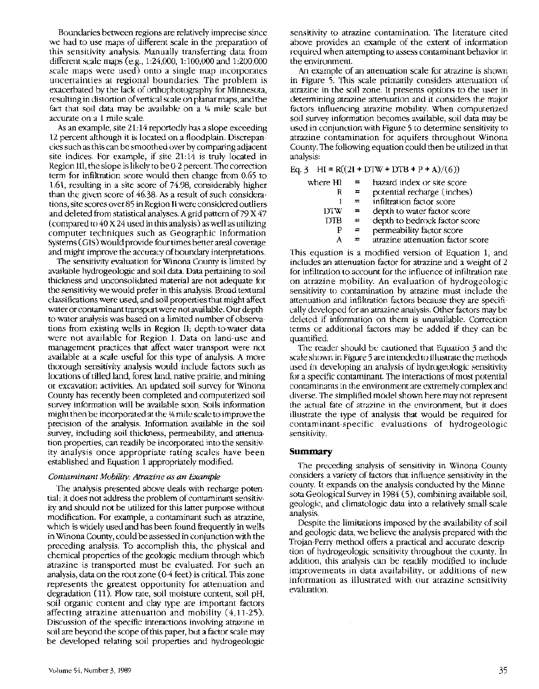Boundaries between regions are relatively imprecise since we had to use maps of different scale in the preparation of this sensitivity analysis. Manually transferring data from different scale maps (e.g., 1:24,000, 1:100,000 and 1:200,000 scale maps were used) onto a single map incorporates uncertainties at regional boundaries. The problem is exacerbated by the lack of orthophotography for Minnesota, resulting in distortion of vertical scale on planar maps, and the fact that soil data may be available on a % mile scale but accurate on a 1 mile scale.

As an example, site 21: 14 reportedly has a slope exceeding 12 percent although it is located on a floodplain. Discrepancies such as this can be smoothed over by comparing adjacent site indices. For example, if site 21:14 is truly located in Region III, the slope is likely to be 0-2 percent. The correction term for infiltration score would then change from 0.65 to 1.61, resulting in a site score of 74.98, considerably higher than the given score of 46.38. As a result of such considerations, site scores over 85 in Region II were considered outliers and deleted from statistical analyses. A grid pattern of  $79$  X  $47$ (compared to 40 X 24 used in this analysis) as well as utilizing computer techniques such as Geographic Information Systems (GIS) would provide four times better areal coverage and might improve the accuracy of boundary interpretations.

The sensitivity evaluation for Winona County is limited by available hydrogeologic and soil data. Data pertaining to soil thickness and unconsolidated material are not adequate for the sensitivity we would prefer in this analysis. Broad textural classifications were used, and soil properties that might affect water or contaminant transport were not available. Our depthto-water analysis was based on a limited number of observations from existing wells in Region II; depth-to-water data were not available for Region I. Data on land-use and management practices that affect water transport were not available at a scale useful for this type of analysis. A more thorough sensitivity analysis would include factors such as locations of tilled land, forest land, native prairie, and mining or excavation activities. An updated soil survey for Winona County has recently been completed and computerized soil survey information will be available soon. Soils information might then be incorporated at the %mile scale to improve the precision of the analysis. Information available in the soil survey, including soil thickness, permeability, and attenuation properties, can readily be incorporated into the sensitivity analysis once appropriate rating scales have been established and Equation 1 appropriately modified.

#### *Contaminant Mobility: Atrazine as an Example*

The analysis presented above deals with recharge potential; it does not address the problem of contaminant sensitivity and should not be utilized for this latter purpose without modification. For example, a contaminant such as atrazine, which is widely used and has been found frequently in wells in Winona County, could be assessed in conjunction with the preceding analysis. To accomplish this, the physical and chemical properties of the geologic medium through which atrazine is transported must be evaluated. For such an analysis, data on the root zone (0-4 feet) is critical. This zone represents the greatest opportunity for attenuation and degradation (11). Flow rate, soil moisture content, soil pH, soil organic content and clay type are important factors affecting atrazine attenuation and mobility ( 4,11-25). Discussion of the specific interactions involving atrazine in soil are beyond the scope of this paper, but a factor scale may be developed relating soil properties and hydrogeologic

sensitivity to atrazine contamination. The literature cited above provides an example of the extent of information required when attempting to assess contaminant behavior in the environment.

An example of an attenuation scale for atrazine is shown in Figure 5. This scale primarily considers attenuation of atrazine in the soil zone. It presents options to the user in determining atrazine attenuation and it considers the major factors influencing atrazine mobility. When computerized soil survey information becomes available, soil data may be used in conjunction with Figure 5 to determine sensitivity to atrazine contamination for aquifers throughout Winona County. The following equation could then be utilized in that analysis:

#### Eq. 3 HI = R((2I + DTW + DTB + P + A)/(6))

| where HI | $\equiv$ | hazard index or site score        |
|----------|----------|-----------------------------------|
|          |          |                                   |
| R        |          | potential recharge (inches)       |
|          |          | infiltration factor score         |
| 1YIW     |          | depth to water factor score       |
| DTB      | 苎        | depth to bedrock factor score     |
|          |          | permeability factor score         |
|          |          | atrazine attenuation factor score |

This equation is a modified version of Equation 1, and includes an attenuation factor for atrazine and a weight of 2 for infiltration to account for the influence of infiltration rate on atrazine mobility. An evaluation of hydrogeologic sensitivity to contamination by atrazine must include the attenuation and infiltration factors because they are specifically developed for an atrazine analysis. Other factors may be deleted if information on them is unavailable. Correction terms or additional factors may be added if they can be quantified.

The reader should be cautioned that Equation 3 and the scale shown in Figure 5 are intended to illustrate the methods used in developing an analysis of hydrogeologic sensitivity for a specific contaminant. The interactions of most potential contaminants in the environment are extremely complex and diverse. The simplified model shown here may not represent the actual fate of atrazine in the environment, but it does illustrate the type of analysis that would be required for contaminant-specific evaluations of hydrogeologic sensitivity.

#### **Summary**

The preceding analysis of sensitivity in Winona County considers a variety of factors that influence sensitivity in the county. It expands on the analysis conducted by the Minnesota Geological Survey in 1984 (5), combining available soil, geologic, and climatologic data into a relatively small-scale analysis.

Despite the limitations imposed by the availability of soil and geologic data, we believe the analysis prepared with the Trojan-Perry method offers a practical and accurate description of hydrogeologic sensitivity throughout the county. In addition, this analysis can be readily modified to include improvements in data availability, or additions of new information as illustrated with our atrazine sensitivity evaluation.